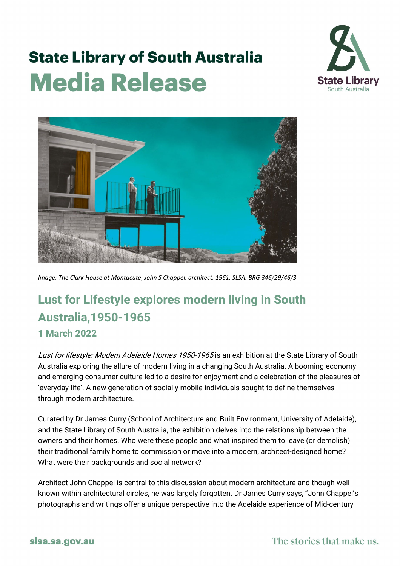## **State Library of South Australia Media Release**





*Image: The Clark House at Montacute, John S Chappel, architect, 1961. SLSA: BRG 346/29/46/3.*

## **Lust for Lifestyle explores modern living in South Australia,1950-1965 1 March 2022**

Lust for lifestyle: Modern Adelaide Homes 1950-1965 is an exhibition at the State Library of South Australia exploring the allure of modern living in a changing South Australia. A booming economy and emerging consumer culture led to a desire for enjoyment and a celebration of the pleasures of 'everyday life'. A new generation of socially mobile individuals sought to define themselves through modern architecture.

Curated by Dr James Curry (School of Architecture and Built Environment, University of Adelaide), and the State Library of South Australia, the exhibition delves into the relationship between the owners and their homes. Who were these people and what inspired them to leave (or demolish) their traditional family home to commission or move into a modern, architect-designed home? What were their backgrounds and social network?

Architect John Chappel is central to this discussion about modern architecture and though wellknown within architectural circles, he was largely forgotten. Dr James Curry says, "John Chappel's photographs and writings offer a unique perspective into the Adelaide experience of Mid-century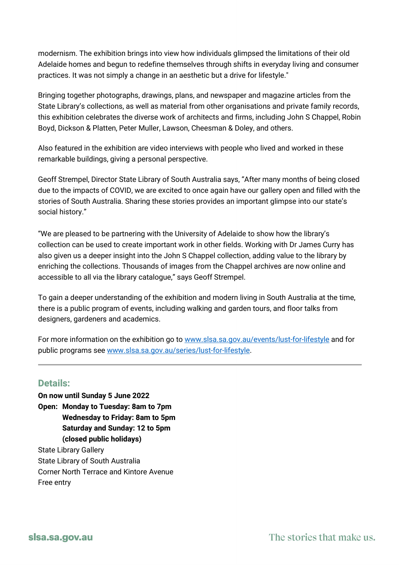modernism. The exhibition brings into view how individuals glimpsed the limitations of their old Adelaide homes and begun to redefine themselves through shifts in everyday living and consumer practices. It was not simply a change in an aesthetic but a drive for lifestyle."

Bringing together photographs, drawings, plans, and newspaper and magazine articles from the State Library's collections, as well as material from other organisations and private family records, this exhibition celebrates the diverse work of architects and firms, including John S Chappel, Robin Boyd, Dickson & Platten, Peter Muller, Lawson, Cheesman & Doley, and others.

Also featured in the exhibition are video interviews with people who lived and worked in these remarkable buildings, giving a personal perspective.

Geoff Strempel, Director State Library of South Australia says, "After many months of being closed due to the impacts of COVID, we are excited to once again have our gallery open and filled with the stories of South Australia. Sharing these stories provides an important glimpse into our state's social history."

"We are pleased to be partnering with the University of Adelaide to show how the library's collection can be used to create important work in other fields. Working with Dr James Curry has also given us a deeper insight into the John S Chappel collection, adding value to the library by enriching the collections. Thousands of images from the Chappel archives are now online and accessible to all via the library catalogue," says Geoff Strempel.

To gain a deeper understanding of the exhibition and modern living in South Australia at the time, there is a public program of events, including walking and garden tours, and floor talks from designers, gardeners and academics.

For more information on the exhibition go to [www.slsa.sa.gov.au/events/lust-for-lifestyle](http://www.slsa.sa.gov.au/events/lust-for-lifestyle) and for public programs see [www.slsa.sa.gov.au/series/lust-for-lifestyle](http://www.slsa.sa.gov.au/series/lust-for-lifestyle).

## **Details:**

**On now until Sunday 5 June 2022 Open: Monday to Tuesday: 8am to 7pm Wednesday to Friday: 8am to 5pm Saturday and Sunday: 12 to 5pm (closed public holidays)** State Library Gallery State Library of South Australia Corner North Terrace and Kintore Avenue Free entry